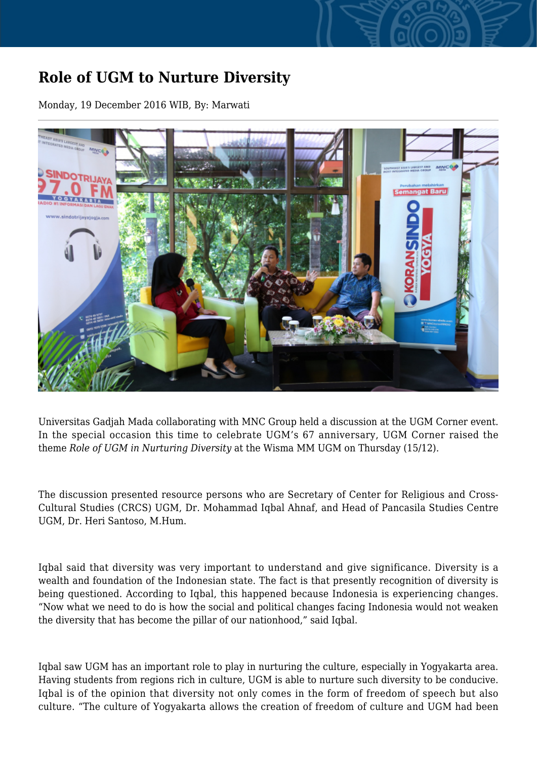## **Role of UGM to Nurture Diversity**

Monday, 19 December 2016 WIB, By: Marwati



Universitas Gadjah Mada collaborating with MNC Group held a discussion at the UGM Corner event. In the special occasion this time to celebrate UGM's 67 anniversary, UGM Corner raised the theme *Role of UGM in Nurturing Diversity* at the Wisma MM UGM on Thursday (15/12).

The discussion presented resource persons who are Secretary of Center for Religious and Cross-Cultural Studies (CRCS) UGM, Dr. Mohammad Iqbal Ahnaf, and Head of Pancasila Studies Centre UGM, Dr. Heri Santoso, M.Hum.

Iqbal said that diversity was very important to understand and give significance. Diversity is a wealth and foundation of the Indonesian state. The fact is that presently recognition of diversity is being questioned. According to Iqbal, this happened because Indonesia is experiencing changes. "Now what we need to do is how the social and political changes facing Indonesia would not weaken the diversity that has become the pillar of our nationhood," said Iqbal.

Iqbal saw UGM has an important role to play in nurturing the culture, especially in Yogyakarta area. Having students from regions rich in culture, UGM is able to nurture such diversity to be conducive. Iqbal is of the opinion that diversity not only comes in the form of freedom of speech but also culture. "The culture of Yogyakarta allows the creation of freedom of culture and UGM had been